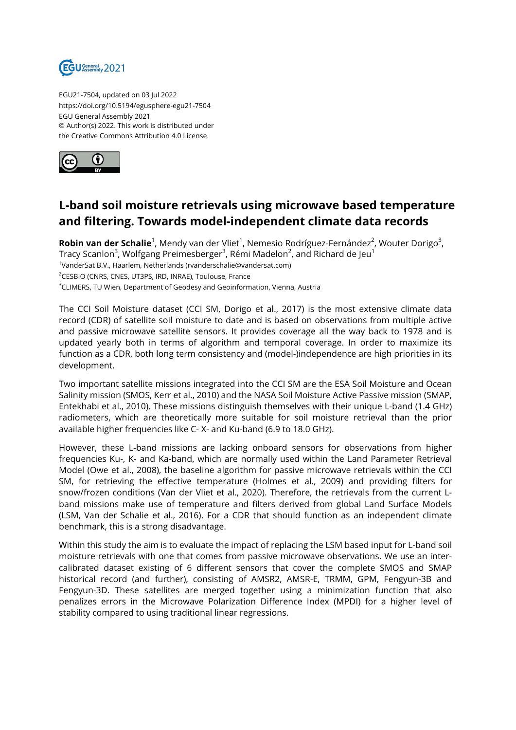

EGU21-7504, updated on 03 Jul 2022 https://doi.org/10.5194/egusphere-egu21-7504 EGU General Assembly 2021 © Author(s) 2022. This work is distributed under the Creative Commons Attribution 4.0 License.



## **L-band soil moisture retrievals using microwave based temperature and filtering. Towards model-independent climate data records**

**Robin van der Schalie**<sup>1</sup>, Mendy van der Vliet<sup>1</sup>, Nemesio Rodríguez-Fernández<sup>2</sup>, Wouter Dorigo<sup>3</sup>, Tracy Scanlon<sup>3</sup>, Wolfgang Preimesberger<sup>3</sup>, Rémi Madelon<sup>2</sup>, and Richard de Jeu<sup>1</sup> <sup>1</sup>VanderSat B.V., Haarlem, Netherlands (rvanderschalie@vandersat.com) <sup>2</sup>CESBIO (CNRS, CNES, UT3PS, IRD, INRAE), Toulouse, France <sup>3</sup>CLIMERS, TU Wien, Department of Geodesy and Geoinformation, Vienna, Austria

The CCI Soil Moisture dataset (CCI SM, Dorigo et al., 2017) is the most extensive climate data record (CDR) of satellite soil moisture to date and is based on observations from multiple active and passive microwave satellite sensors. It provides coverage all the way back to 1978 and is updated yearly both in terms of algorithm and temporal coverage. In order to maximize its function as a CDR, both long term consistency and (model-)independence are high priorities in its development.

Two important satellite missions integrated into the CCI SM are the ESA Soil Moisture and Ocean Salinity mission (SMOS, Kerr et al., 2010) and the NASA Soil Moisture Active Passive mission (SMAP, Entekhabi et al., 2010). These missions distinguish themselves with their unique L-band (1.4 GHz) radiometers, which are theoretically more suitable for soil moisture retrieval than the prior available higher frequencies like C- X- and Ku-band (6.9 to 18.0 GHz).

However, these L-band missions are lacking onboard sensors for observations from higher frequencies Ku-, K- and Ka-band, which are normally used within the Land Parameter Retrieval Model (Owe et al., 2008), the baseline algorithm for passive microwave retrievals within the CCI SM, for retrieving the effective temperature (Holmes et al., 2009) and providing filters for snow/frozen conditions (Van der Vliet et al., 2020). Therefore, the retrievals from the current Lband missions make use of temperature and filters derived from global Land Surface Models (LSM, Van der Schalie et al., 2016). For a CDR that should function as an independent climate benchmark, this is a strong disadvantage.

Within this study the aim is to evaluate the impact of replacing the LSM based input for L-band soil moisture retrievals with one that comes from passive microwave observations. We use an intercalibrated dataset existing of 6 different sensors that cover the complete SMOS and SMAP historical record (and further), consisting of AMSR2, AMSR-E, TRMM, GPM, Fengyun-3B and Fengyun-3D. These satellites are merged together using a minimization function that also penalizes errors in the Microwave Polarization Difference Index (MPDI) for a higher level of stability compared to using traditional linear regressions.